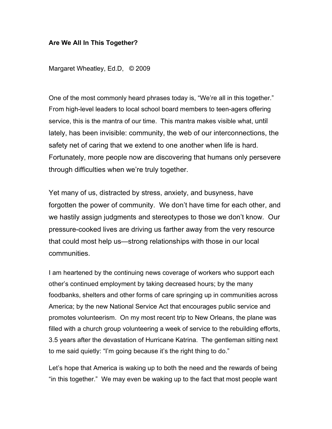## **Are We All In This Together?**

Margaret Wheatley, Ed.D, © 2009

One of the most commonly heard phrases today is, "We're all in this together." From high-level leaders to local school board members to teen-agers offering service, this is the mantra of our time. This mantra makes visible what, until lately, has been invisible: community, the web of our interconnections, the safety net of caring that we extend to one another when life is hard. Fortunately, more people now are discovering that humans only persevere through difficulties when we're truly together.

Yet many of us, distracted by stress, anxiety, and busyness, have forgotten the power of community. We don't have time for each other, and we hastily assign judgments and stereotypes to those we don't know. Our pressure-cooked lives are driving us farther away from the very resource that could most help us—strong relationships with those in our local communities.

I am heartened by the continuing news coverage of workers who support each other's continued employment by taking decreased hours; by the many foodbanks, shelters and other forms of care springing up in communities across America; by the new National Service Act that encourages public service and promotes volunteerism. On my most recent trip to New Orleans, the plane was filled with a church group volunteering a week of service to the rebuilding efforts, 3.5 years after the devastation of Hurricane Katrina. The gentleman sitting next to me said quietly: "I'm going because it's the right thing to do."

Let's hope that America is waking up to both the need and the rewards of being "in this together." We may even be waking up to the fact that most people want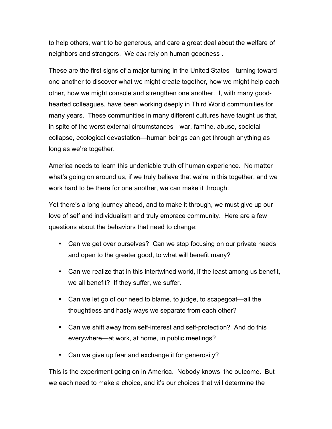to help others, want to be generous, and care a great deal about the welfare of neighbors and strangers. We *can* rely on human goodness .

These are the first signs of a major turning in the United States—turning toward one another to discover what we might create together, how we might help each other, how we might console and strengthen one another. I, with many goodhearted colleagues, have been working deeply in Third World communities for many years. These communities in many different cultures have taught us that, in spite of the worst external circumstances—war, famine, abuse, societal collapse, ecological devastation—human beings can get through anything as long as we're together.

America needs to learn this undeniable truth of human experience. No matter what's going on around us, if we truly believe that we're in this together, and we work hard to be there for one another, we can make it through.

Yet there's a long journey ahead, and to make it through, we must give up our love of self and individualism and truly embrace community. Here are a few questions about the behaviors that need to change:

- Can we get over ourselves? Can we stop focusing on our private needs and open to the greater good, to what will benefit many?
- Can we realize that in this intertwined world, if the least among us benefit, we all benefit? If they suffer, we suffer.
- Can we let go of our need to blame, to judge, to scapegoat—all the thoughtless and hasty ways we separate from each other?
- Can we shift away from self-interest and self-protection? And do this everywhere—at work, at home, in public meetings?
- Can we give up fear and exchange it for generosity?

This is the experiment going on in America. Nobody knows the outcome. But we each need to make a choice, and it's our choices that will determine the